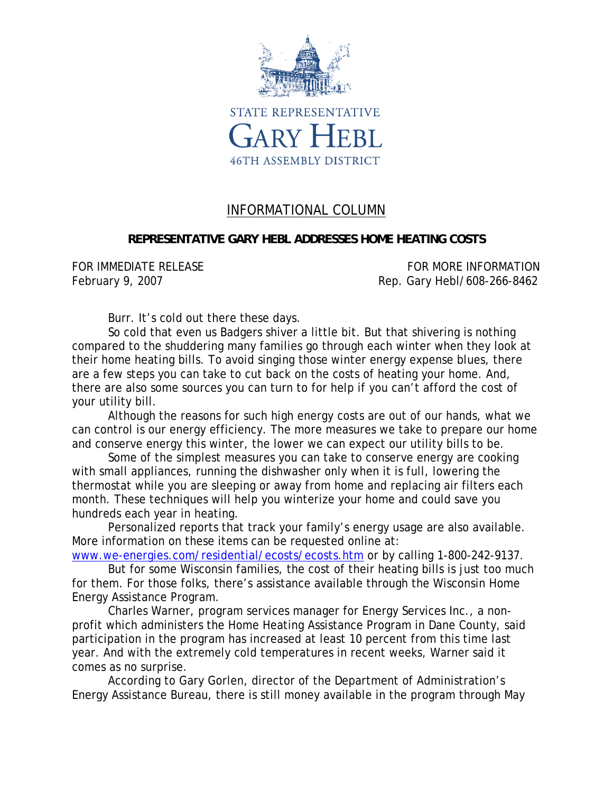

## INFORMATIONAL COLUMN

## **REPRESENTATIVE GARY HEBL ADDRESSES HOME HEATING COSTS**

FOR IMMEDIATE RELEASE **FOR MORE INFORMATION** February 9, 2007 **Rep. Gary Hebl/608-266-8462** 

Burr. It's cold out there these days.

So cold that even us Badgers shiver a little bit. But that shivering is nothing compared to the shuddering many families go through each winter when they look at their home heating bills. To avoid singing those winter energy expense blues, there are a few steps you can take to cut back on the costs of heating your home. And, there are also some sources you can turn to for help if you can't afford the cost of your utility bill.

Although the reasons for such high energy costs are out of our hands, what we can control is our energy efficiency. The more measures we take to prepare our home and conserve energy this winter, the lower we can expect our utility bills to be.

Some of the simplest measures you can take to conserve energy are cooking with small appliances, running the dishwasher only when it is full, lowering the thermostat while you are sleeping or away from home and replacing air filters each month. These techniques will help you winterize your home and could save you hundreds each year in heating.

Personalized reports that track your family's energy usage are also available. More information on these items can be requested online at:

www.we-energies.com/residential/ecosts/ecosts.htm or by calling 1-800-242-9137.

But for some Wisconsin families, the cost of their heating bills is just too much for them. For those folks, there's assistance available through the Wisconsin Home Energy Assistance Program.

Charles Warner, program services manager for Energy Services Inc., a nonprofit which administers the Home Heating Assistance Program in Dane County, said participation in the program has increased at least 10 percent from this time last year. And with the extremely cold temperatures in recent weeks, Warner said it comes as no surprise.

According to Gary Gorlen, director of the Department of Administration's Energy Assistance Bureau, there is still money available in the program through May